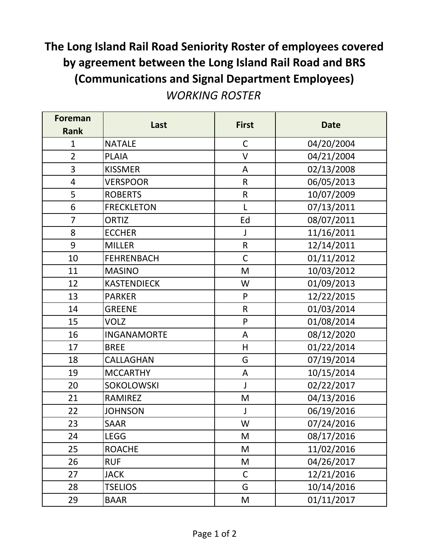## **The Long Island Rail Road Seniority Roster of employees covered by agreement between the Long Island Rail Road and BRS (Communications and Signal Department Employees)**

*WORKING ROSTER*

| <b>Foreman</b> | Last               | <b>First</b> | <b>Date</b> |
|----------------|--------------------|--------------|-------------|
| <b>Rank</b>    |                    |              |             |
| $\mathbf{1}$   | <b>NATALE</b>      | $\mathsf C$  | 04/20/2004  |
| $\overline{2}$ | PLAIA              | $\vee$       | 04/21/2004  |
| 3              | <b>KISSMER</b>     | ${\sf A}$    | 02/13/2008  |
| $\overline{4}$ | <b>VERSPOOR</b>    | ${\sf R}$    | 06/05/2013  |
| 5              | <b>ROBERTS</b>     | ${\sf R}$    | 10/07/2009  |
| 6              | <b>FRECKLETON</b>  | L            | 07/13/2011  |
| $\overline{7}$ | <b>ORTIZ</b>       | Ed           | 08/07/2011  |
| 8              | <b>ECCHER</b>      | J            | 11/16/2011  |
| 9              | <b>MILLER</b>      | $\mathsf R$  | 12/14/2011  |
| 10             | <b>FEHRENBACH</b>  | $\mathsf C$  | 01/11/2012  |
| 11             | <b>MASINO</b>      | M            | 10/03/2012  |
| 12             | <b>KASTENDIECK</b> | W            | 01/09/2013  |
| 13             | <b>PARKER</b>      | ${\sf P}$    | 12/22/2015  |
| 14             | <b>GREENE</b>      | $\mathsf{R}$ | 01/03/2014  |
| 15             | <b>VOLZ</b>        | $\mathsf{P}$ | 01/08/2014  |
| 16             | <b>INGANAMORTE</b> | A            | 08/12/2020  |
| 17             | <b>BREE</b>        | H            | 01/22/2014  |
| 18             | CALLAGHAN          | G            | 07/19/2014  |
| 19             | <b>MCCARTHY</b>    | A            | 10/15/2014  |
| 20             | SOKOLOWSKI         | J            | 02/22/2017  |
| 21             | <b>RAMIREZ</b>     | M            | 04/13/2016  |
| 22             | <b>JOHNSON</b>     | J            | 06/19/2016  |
| 23             | <b>SAAR</b>        | W            | 07/24/2016  |
| 24             | <b>LEGG</b>        | M            | 08/17/2016  |
| 25             | <b>ROACHE</b>      | M            | 11/02/2016  |
| 26             | <b>RUF</b>         | M            | 04/26/2017  |
| 27             | <b>JACK</b>        | $\mathsf C$  | 12/21/2016  |
| 28             | <b>TSELIOS</b>     | G            | 10/14/2016  |
| 29             | <b>BAAR</b>        | M            | 01/11/2017  |